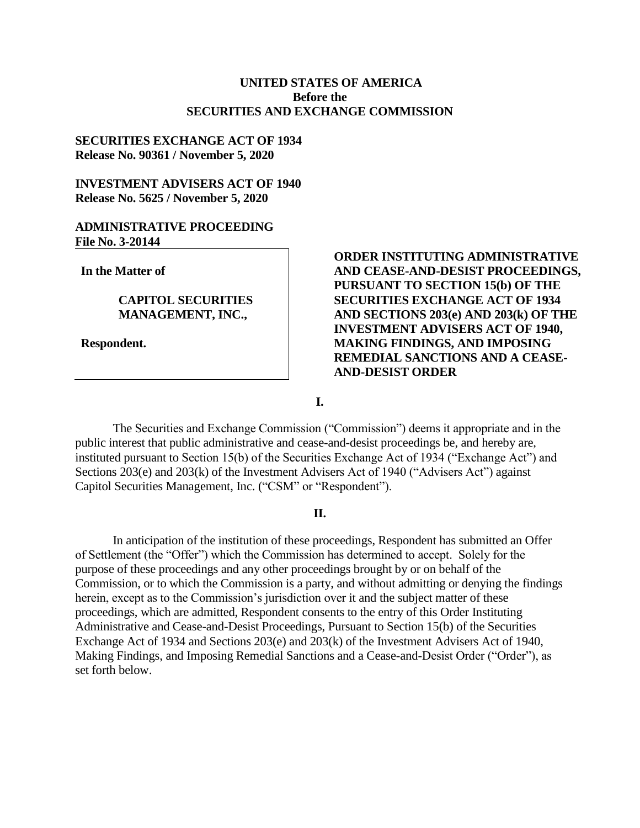# **UNITED STATES OF AMERICA Before the SECURITIES AND EXCHANGE COMMISSION**

## **SECURITIES EXCHANGE ACT OF 1934 Release No. 90361 / November 5, 2020**

# **INVESTMENT ADVISERS ACT OF 1940 Release No. 5625 / November 5, 2020**

#### **ADMINISTRATIVE PROCEEDING File No. 3-20144**

**In the Matter of**

## **CAPITOL SECURITIES MANAGEMENT, INC.,**

**Respondent.**

# **ORDER INSTITUTING ADMINISTRATIVE AND CEASE-AND-DESIST PROCEEDINGS, PURSUANT TO SECTION 15(b) OF THE SECURITIES EXCHANGE ACT OF 1934 AND SECTIONS 203(e) AND 203(k) OF THE INVESTMENT ADVISERS ACT OF 1940, MAKING FINDINGS, AND IMPOSING REMEDIAL SANCTIONS AND A CEASE-AND-DESIST ORDER**

**I.**

The Securities and Exchange Commission ("Commission") deems it appropriate and in the public interest that public administrative and cease-and-desist proceedings be, and hereby are, instituted pursuant to Section 15(b) of the Securities Exchange Act of 1934 ("Exchange Act") and Sections 203(e) and 203(k) of the Investment Advisers Act of 1940 ("Advisers Act") against Capitol Securities Management, Inc. ("CSM" or "Respondent").

### **II.**

In anticipation of the institution of these proceedings, Respondent has submitted an Offer of Settlement (the "Offer") which the Commission has determined to accept. Solely for the purpose of these proceedings and any other proceedings brought by or on behalf of the Commission, or to which the Commission is a party, and without admitting or denying the findings herein, except as to the Commission's jurisdiction over it and the subject matter of these proceedings, which are admitted, Respondent consents to the entry of this Order Instituting Administrative and Cease-and-Desist Proceedings, Pursuant to Section 15(b) of the Securities Exchange Act of 1934 and Sections 203(e) and 203(k) of the Investment Advisers Act of 1940, Making Findings, and Imposing Remedial Sanctions and a Cease-and-Desist Order ("Order"), as set forth below.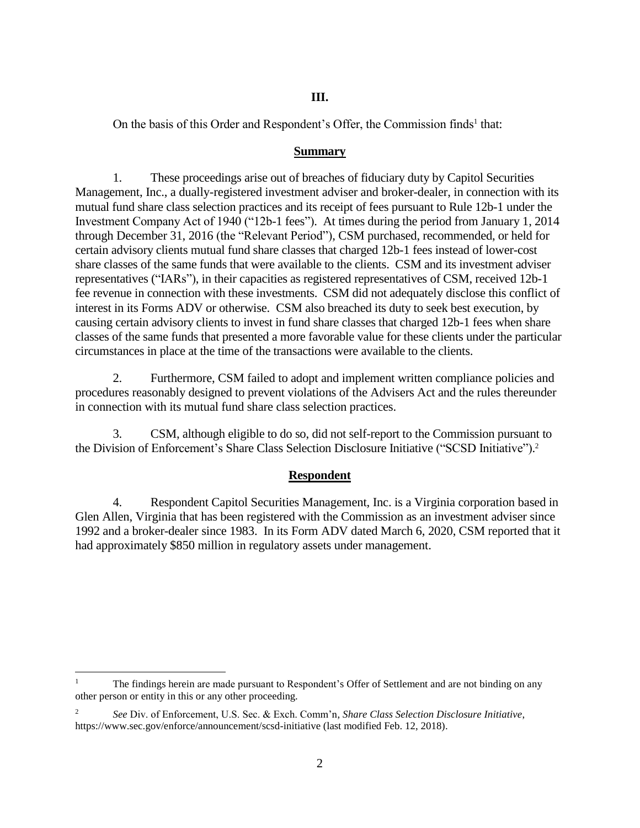# **III.**

On the basis of this Order and Respondent's Offer, the Commission finds<sup>1</sup> that:

## **Summary**

1. These proceedings arise out of breaches of fiduciary duty by Capitol Securities Management, Inc., a dually-registered investment adviser and broker-dealer, in connection with its mutual fund share class selection practices and its receipt of fees pursuant to Rule 12b-1 under the Investment Company Act of 1940 ("12b-1 fees"). At times during the period from January 1, 2014 through December 31, 2016 (the "Relevant Period"), CSM purchased, recommended, or held for certain advisory clients mutual fund share classes that charged 12b-1 fees instead of lower-cost share classes of the same funds that were available to the clients. CSM and its investment adviser representatives ("IARs"), in their capacities as registered representatives of CSM, received 12b-1 fee revenue in connection with these investments. CSM did not adequately disclose this conflict of interest in its Forms ADV or otherwise. CSM also breached its duty to seek best execution, by causing certain advisory clients to invest in fund share classes that charged 12b-1 fees when share classes of the same funds that presented a more favorable value for these clients under the particular circumstances in place at the time of the transactions were available to the clients.

2. Furthermore, CSM failed to adopt and implement written compliance policies and procedures reasonably designed to prevent violations of the Advisers Act and the rules thereunder in connection with its mutual fund share class selection practices.

3. CSM, although eligible to do so, did not self-report to the Commission pursuant to the Division of Enforcement's Share Class Selection Disclosure Initiative ("SCSD Initiative"). 2

# **Respondent**

4. Respondent Capitol Securities Management, Inc. is a Virginia corporation based in Glen Allen, Virginia that has been registered with the Commission as an investment adviser since 1992 and a broker-dealer since 1983. In its Form ADV dated March 6, 2020, CSM reported that it had approximately \$850 million in regulatory assets under management.

 $\overline{a}$ 

<sup>1</sup> The findings herein are made pursuant to Respondent's Offer of Settlement and are not binding on any other person or entity in this or any other proceeding.

<sup>2</sup> *See* Div. of Enforcement, U.S. Sec. & Exch. Comm'n, *Share Class Selection Disclosure Initiative*, https://www.sec.gov/enforce/announcement/scsd-initiative (last modified Feb. 12, 2018).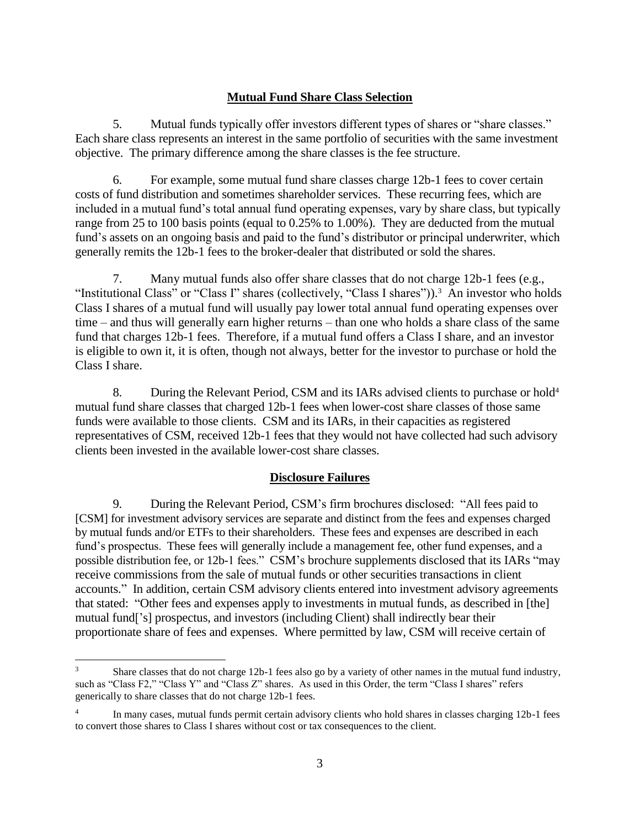# **Mutual Fund Share Class Selection**

5. Mutual funds typically offer investors different types of shares or "share classes." Each share class represents an interest in the same portfolio of securities with the same investment objective. The primary difference among the share classes is the fee structure.

6. For example, some mutual fund share classes charge 12b-1 fees to cover certain costs of fund distribution and sometimes shareholder services. These recurring fees, which are included in a mutual fund's total annual fund operating expenses, vary by share class, but typically range from 25 to 100 basis points (equal to 0.25% to 1.00%). They are deducted from the mutual fund's assets on an ongoing basis and paid to the fund's distributor or principal underwriter, which generally remits the 12b-1 fees to the broker-dealer that distributed or sold the shares.

7. Many mutual funds also offer share classes that do not charge 12b-1 fees (e.g., "Institutional Class" or "Class I" shares (collectively, "Class I shares")).<sup>3</sup> An investor who holds Class I shares of a mutual fund will usually pay lower total annual fund operating expenses over time – and thus will generally earn higher returns – than one who holds a share class of the same fund that charges 12b-1 fees. Therefore, if a mutual fund offers a Class I share, and an investor is eligible to own it, it is often, though not always, better for the investor to purchase or hold the Class I share.

8. During the Relevant Period, CSM and its IARs advised clients to purchase or hold<sup>4</sup> mutual fund share classes that charged 12b-1 fees when lower-cost share classes of those same funds were available to those clients. CSM and its IARs, in their capacities as registered representatives of CSM, received 12b-1 fees that they would not have collected had such advisory clients been invested in the available lower-cost share classes.

# **Disclosure Failures**

9. During the Relevant Period, CSM's firm brochures disclosed: "All fees paid to [CSM] for investment advisory services are separate and distinct from the fees and expenses charged by mutual funds and/or ETFs to their shareholders. These fees and expenses are described in each fund's prospectus. These fees will generally include a management fee, other fund expenses, and a possible distribution fee, or 12b-1 fees." CSM's brochure supplements disclosed that its IARs "may receive commissions from the sale of mutual funds or other securities transactions in client accounts." In addition, certain CSM advisory clients entered into investment advisory agreements that stated: "Other fees and expenses apply to investments in mutual funds, as described in [the] mutual fund['s] prospectus, and investors (including Client) shall indirectly bear their proportionate share of fees and expenses. Where permitted by law, CSM will receive certain of

 $\overline{a}$ 

<sup>&</sup>lt;sup>3</sup> Share classes that do not charge 12b-1 fees also go by a variety of other names in the mutual fund industry, such as "Class F2," "Class Y" and "Class Z" shares. As used in this Order, the term "Class I shares" refers generically to share classes that do not charge 12b-1 fees.

<sup>4</sup> In many cases, mutual funds permit certain advisory clients who hold shares in classes charging 12b-1 fees to convert those shares to Class I shares without cost or tax consequences to the client.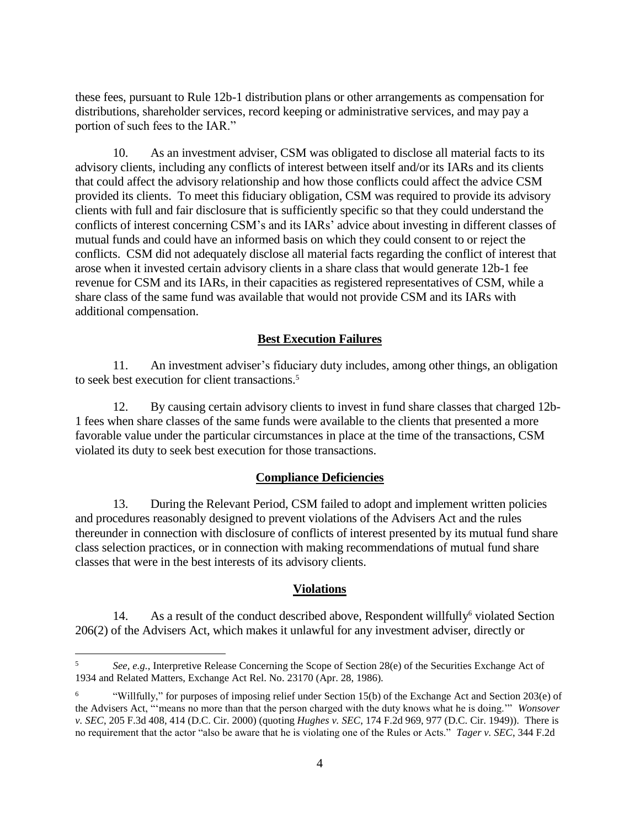these fees, pursuant to Rule 12b-1 distribution plans or other arrangements as compensation for distributions, shareholder services, record keeping or administrative services, and may pay a portion of such fees to the IAR."

10. As an investment adviser, CSM was obligated to disclose all material facts to its advisory clients, including any conflicts of interest between itself and/or its IARs and its clients that could affect the advisory relationship and how those conflicts could affect the advice CSM provided its clients. To meet this fiduciary obligation, CSM was required to provide its advisory clients with full and fair disclosure that is sufficiently specific so that they could understand the conflicts of interest concerning CSM's and its IARs' advice about investing in different classes of mutual funds and could have an informed basis on which they could consent to or reject the conflicts. CSM did not adequately disclose all material facts regarding the conflict of interest that arose when it invested certain advisory clients in a share class that would generate 12b-1 fee revenue for CSM and its IARs, in their capacities as registered representatives of CSM, while a share class of the same fund was available that would not provide CSM and its IARs with additional compensation.

## **Best Execution Failures**

11. An investment adviser's fiduciary duty includes, among other things, an obligation to seek best execution for client transactions. 5

12. By causing certain advisory clients to invest in fund share classes that charged 12b-1 fees when share classes of the same funds were available to the clients that presented a more favorable value under the particular circumstances in place at the time of the transactions, CSM violated its duty to seek best execution for those transactions.

### **Compliance Deficiencies**

13. During the Relevant Period, CSM failed to adopt and implement written policies and procedures reasonably designed to prevent violations of the Advisers Act and the rules thereunder in connection with disclosure of conflicts of interest presented by its mutual fund share class selection practices, or in connection with making recommendations of mutual fund share classes that were in the best interests of its advisory clients.

### **Violations**

14. As a result of the conduct described above, Respondent willfully <sup>6</sup> violated Section 206(2) of the Advisers Act, which makes it unlawful for any investment adviser, directly or

 $\overline{a}$ 

<sup>5</sup> *See, e.g.*, Interpretive Release Concerning the Scope of Section 28(e) of the Securities Exchange Act of 1934 and Related Matters, Exchange Act Rel. No. 23170 (Apr. 28, 1986).

<sup>6</sup> "Willfully," for purposes of imposing relief under Section 15(b) of the Exchange Act and Section 203(e) of the Advisers Act, "'means no more than that the person charged with the duty knows what he is doing.'" *Wonsover v. SEC*, 205 F.3d 408, 414 (D.C. Cir. 2000) (quoting *Hughes v. SEC*, 174 F.2d 969, 977 (D.C. Cir. 1949)). There is no requirement that the actor "also be aware that he is violating one of the Rules or Acts." *Tager v. SEC*, 344 F.2d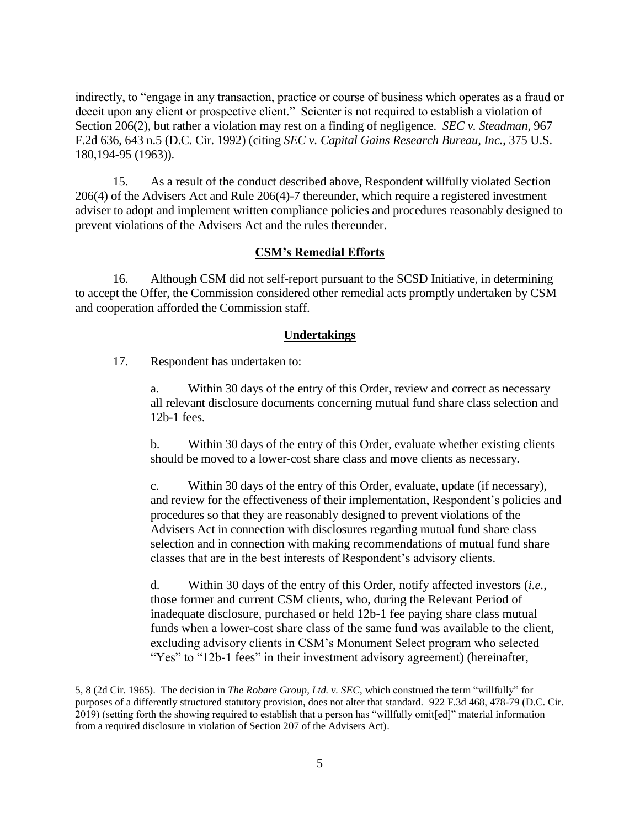indirectly, to "engage in any transaction, practice or course of business which operates as a fraud or deceit upon any client or prospective client." Scienter is not required to establish a violation of Section 206(2), but rather a violation may rest on a finding of negligence. *SEC v. Steadman*, 967 F.2d 636, 643 n.5 (D.C. Cir. 1992) (citing *SEC v. Capital Gains Research Bureau, Inc.*, 375 U.S. 180,194-95 (1963)).

15. As a result of the conduct described above, Respondent willfully violated Section 206(4) of the Advisers Act and Rule 206(4)-7 thereunder, which require a registered investment adviser to adopt and implement written compliance policies and procedures reasonably designed to prevent violations of the Advisers Act and the rules thereunder.

## **CSM's Remedial Efforts**

16. Although CSM did not self-report pursuant to the SCSD Initiative, in determining to accept the Offer, the Commission considered other remedial acts promptly undertaken by CSM and cooperation afforded the Commission staff.

### **Undertakings**

17. Respondent has undertaken to:

 $\overline{a}$ 

a. Within 30 days of the entry of this Order, review and correct as necessary all relevant disclosure documents concerning mutual fund share class selection and 12b-1 fees.

b. Within 30 days of the entry of this Order, evaluate whether existing clients should be moved to a lower-cost share class and move clients as necessary.

c. Within 30 days of the entry of this Order, evaluate, update (if necessary), and review for the effectiveness of their implementation, Respondent's policies and procedures so that they are reasonably designed to prevent violations of the Advisers Act in connection with disclosures regarding mutual fund share class selection and in connection with making recommendations of mutual fund share classes that are in the best interests of Respondent's advisory clients.

d. Within 30 days of the entry of this Order, notify affected investors (*i.e.*, those former and current CSM clients, who, during the Relevant Period of inadequate disclosure, purchased or held 12b-1 fee paying share class mutual funds when a lower-cost share class of the same fund was available to the client, excluding advisory clients in CSM's Monument Select program who selected "Yes" to "12b-1 fees" in their investment advisory agreement) (hereinafter,

<sup>5, 8 (2</sup>d Cir. 1965). The decision in *The Robare Group, Ltd. v. SEC*, which construed the term "willfully" for purposes of a differently structured statutory provision, does not alter that standard. 922 F.3d 468, 478-79 (D.C. Cir. 2019) (setting forth the showing required to establish that a person has "willfully omit[ed]" material information from a required disclosure in violation of Section 207 of the Advisers Act).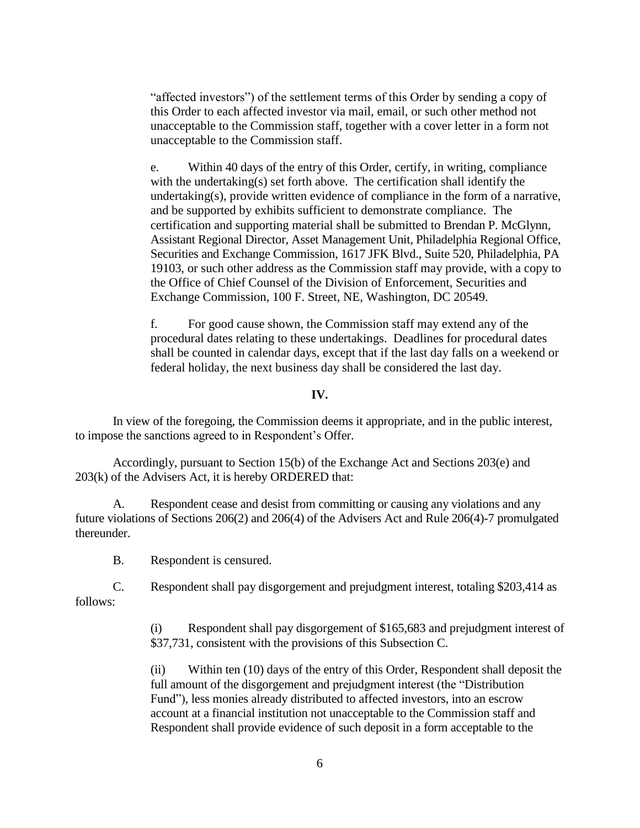"affected investors") of the settlement terms of this Order by sending a copy of this Order to each affected investor via mail, email, or such other method not unacceptable to the Commission staff, together with a cover letter in a form not unacceptable to the Commission staff.

e. Within 40 days of the entry of this Order, certify, in writing, compliance with the undertaking(s) set forth above. The certification shall identify the undertaking(s), provide written evidence of compliance in the form of a narrative, and be supported by exhibits sufficient to demonstrate compliance. The certification and supporting material shall be submitted to Brendan P. McGlynn, Assistant Regional Director, Asset Management Unit, Philadelphia Regional Office, Securities and Exchange Commission, 1617 JFK Blvd., Suite 520, Philadelphia, PA 19103, or such other address as the Commission staff may provide, with a copy to the Office of Chief Counsel of the Division of Enforcement, Securities and Exchange Commission, 100 F. Street, NE, Washington, DC 20549.

f. For good cause shown, the Commission staff may extend any of the procedural dates relating to these undertakings. Deadlines for procedural dates shall be counted in calendar days, except that if the last day falls on a weekend or federal holiday, the next business day shall be considered the last day.

### **IV.**

In view of the foregoing, the Commission deems it appropriate, and in the public interest, to impose the sanctions agreed to in Respondent's Offer.

Accordingly, pursuant to Section 15(b) of the Exchange Act and Sections 203(e) and 203(k) of the Advisers Act, it is hereby ORDERED that:

A. Respondent cease and desist from committing or causing any violations and any future violations of Sections 206(2) and 206(4) of the Advisers Act and Rule 206(4)-7 promulgated thereunder.

B. Respondent is censured.

C. Respondent shall pay disgorgement and prejudgment interest, totaling \$203,414 as follows:

> (i) Respondent shall pay disgorgement of \$165,683 and prejudgment interest of \$37,731, consistent with the provisions of this Subsection C.

> (ii) Within ten (10) days of the entry of this Order, Respondent shall deposit the full amount of the disgorgement and prejudgment interest (the "Distribution Fund"), less monies already distributed to affected investors, into an escrow account at a financial institution not unacceptable to the Commission staff and Respondent shall provide evidence of such deposit in a form acceptable to the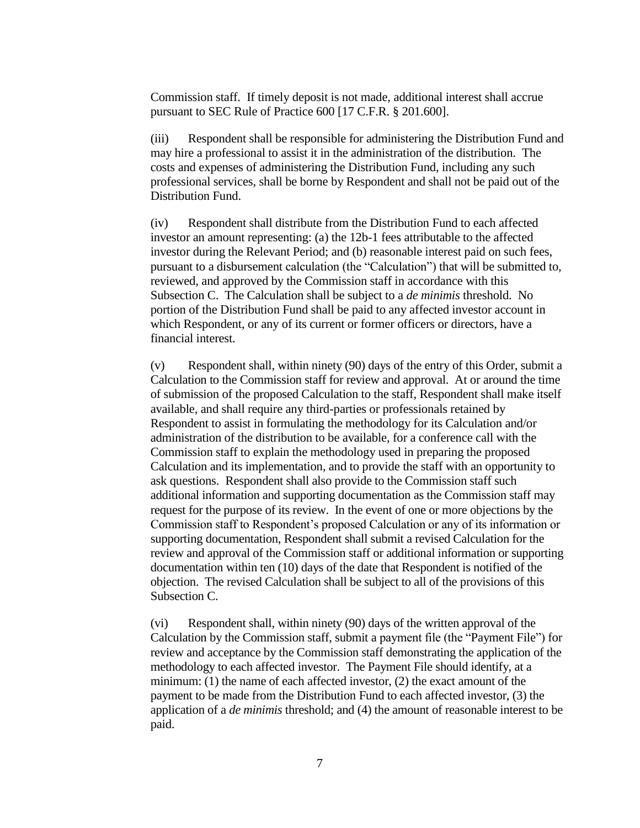Commission staff. If timely deposit is not made, additional interest shall accrue pursuant to SEC Rule of Practice 600 [17 C.F.R. § 201.600].

(iii) Respondent shall be responsible for administering the Distribution Fund and may hire a professional to assist it in the administration of the distribution. The costs and expenses of administering the Distribution Fund, including any such professional services, shall be borne by Respondent and shall not be paid out of the Distribution Fund.

(iv) Respondent shall distribute from the Distribution Fund to each affected investor an amount representing: (a) the 12b-1 fees attributable to the affected investor during the Relevant Period; and (b) reasonable interest paid on such fees, pursuant to a disbursement calculation (the "Calculation") that will be submitted to, reviewed, and approved by the Commission staff in accordance with this Subsection C. The Calculation shall be subject to a *de minimis* threshold. No portion of the Distribution Fund shall be paid to any affected investor account in which Respondent, or any of its current or former officers or directors, have a financial interest.

(v) Respondent shall, within ninety (90) days of the entry of this Order, submit a Calculation to the Commission staff for review and approval. At or around the time of submission of the proposed Calculation to the staff, Respondent shall make itself available, and shall require any third-parties or professionals retained by Respondent to assist in formulating the methodology for its Calculation and/or administration of the distribution to be available, for a conference call with the Commission staff to explain the methodology used in preparing the proposed Calculation and its implementation, and to provide the staff with an opportunity to ask questions. Respondent shall also provide to the Commission staff such additional information and supporting documentation as the Commission staff may request for the purpose of its review. In the event of one or more objections by the Commission staff to Respondent's proposed Calculation or any of its information or supporting documentation, Respondent shall submit a revised Calculation for the review and approval of the Commission staff or additional information or supporting documentation within ten (10) days of the date that Respondent is notified of the objection. The revised Calculation shall be subject to all of the provisions of this Subsection C.

(vi) Respondent shall, within ninety (90) days of the written approval of the Calculation by the Commission staff, submit a payment file (the "Payment File") for review and acceptance by the Commission staff demonstrating the application of the methodology to each affected investor. The Payment File should identify, at a minimum: (1) the name of each affected investor, (2) the exact amount of the payment to be made from the Distribution Fund to each affected investor, (3) the application of a *de minimis* threshold; and (4) the amount of reasonable interest to be paid.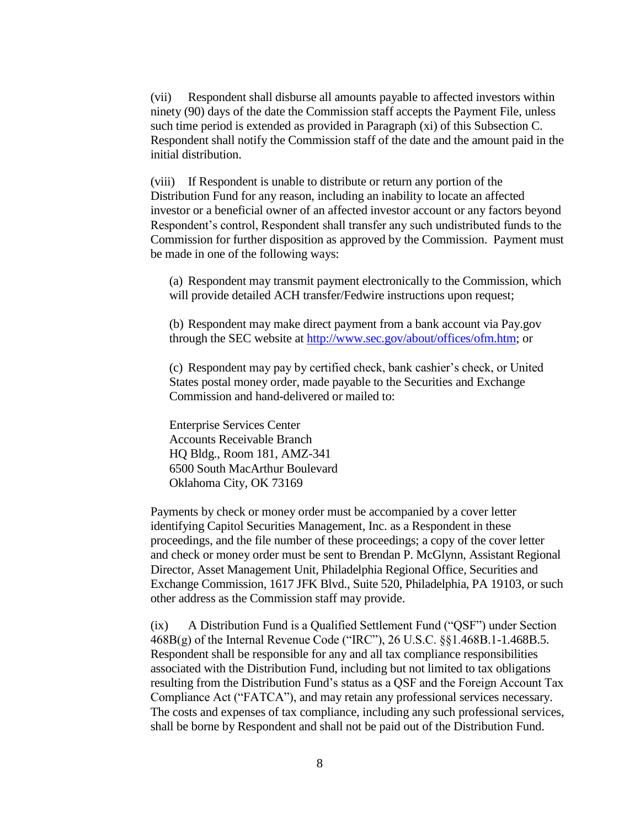(vii) Respondent shall disburse all amounts payable to affected investors within ninety (90) days of the date the Commission staff accepts the Payment File, unless such time period is extended as provided in Paragraph (xi) of this Subsection C. Respondent shall notify the Commission staff of the date and the amount paid in the initial distribution.

(viii) If Respondent is unable to distribute or return any portion of the Distribution Fund for any reason, including an inability to locate an affected investor or a beneficial owner of an affected investor account or any factors beyond Respondent's control, Respondent shall transfer any such undistributed funds to the Commission for further disposition as approved by the Commission. Payment must be made in one of the following ways:

(a) Respondent may transmit payment electronically to the Commission, which will provide detailed ACH transfer/Fedwire instructions upon request;

(b) Respondent may make direct payment from a bank account via Pay.gov through the SEC website at [http://www.sec.gov/about/offices/ofm.htm;](http://www.sec.gov/about/offices/ofm.htm) or

(c) Respondent may pay by certified check, bank cashier's check, or United States postal money order, made payable to the Securities and Exchange Commission and hand-delivered or mailed to:

Enterprise Services Center Accounts Receivable Branch HQ Bldg., Room 181, AMZ-341 6500 South MacArthur Boulevard Oklahoma City, OK 73169

Payments by check or money order must be accompanied by a cover letter identifying Capitol Securities Management, Inc. as a Respondent in these proceedings, and the file number of these proceedings; a copy of the cover letter and check or money order must be sent to Brendan P. McGlynn, Assistant Regional Director, Asset Management Unit, Philadelphia Regional Office, Securities and Exchange Commission, 1617 JFK Blvd., Suite 520, Philadelphia, PA 19103, or such other address as the Commission staff may provide.

(ix) A Distribution Fund is a Qualified Settlement Fund ("QSF") under Section 468B(g) of the Internal Revenue Code ("IRC"), 26 U.S.C. §§1.468B.1-1.468B.5. Respondent shall be responsible for any and all tax compliance responsibilities associated with the Distribution Fund, including but not limited to tax obligations resulting from the Distribution Fund's status as a QSF and the Foreign Account Tax Compliance Act ("FATCA"), and may retain any professional services necessary. The costs and expenses of tax compliance, including any such professional services, shall be borne by Respondent and shall not be paid out of the Distribution Fund.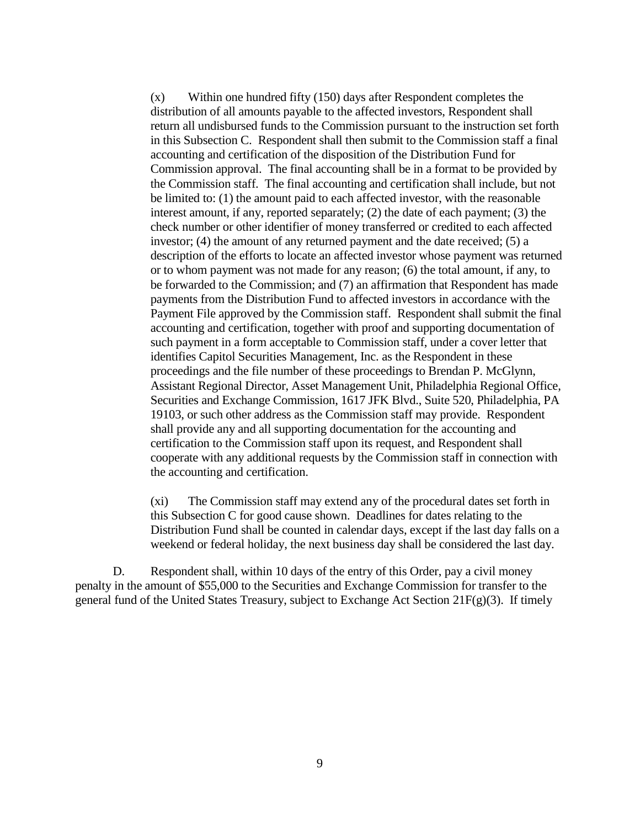(x) Within one hundred fifty (150) days after Respondent completes the distribution of all amounts payable to the affected investors, Respondent shall return all undisbursed funds to the Commission pursuant to the instruction set forth in this Subsection C. Respondent shall then submit to the Commission staff a final accounting and certification of the disposition of the Distribution Fund for Commission approval. The final accounting shall be in a format to be provided by the Commission staff. The final accounting and certification shall include, but not be limited to: (1) the amount paid to each affected investor, with the reasonable interest amount, if any, reported separately; (2) the date of each payment; (3) the check number or other identifier of money transferred or credited to each affected investor; (4) the amount of any returned payment and the date received; (5) a description of the efforts to locate an affected investor whose payment was returned or to whom payment was not made for any reason; (6) the total amount, if any, to be forwarded to the Commission; and (7) an affirmation that Respondent has made payments from the Distribution Fund to affected investors in accordance with the Payment File approved by the Commission staff. Respondent shall submit the final accounting and certification, together with proof and supporting documentation of such payment in a form acceptable to Commission staff, under a cover letter that identifies Capitol Securities Management, Inc. as the Respondent in these proceedings and the file number of these proceedings to Brendan P. McGlynn, Assistant Regional Director, Asset Management Unit, Philadelphia Regional Office, Securities and Exchange Commission, 1617 JFK Blvd., Suite 520, Philadelphia, PA 19103, or such other address as the Commission staff may provide. Respondent shall provide any and all supporting documentation for the accounting and certification to the Commission staff upon its request, and Respondent shall cooperate with any additional requests by the Commission staff in connection with the accounting and certification.

(xi) The Commission staff may extend any of the procedural dates set forth in this Subsection C for good cause shown. Deadlines for dates relating to the Distribution Fund shall be counted in calendar days, except if the last day falls on a weekend or federal holiday, the next business day shall be considered the last day.

D. Respondent shall, within 10 days of the entry of this Order, pay a civil money penalty in the amount of \$55,000 to the Securities and Exchange Commission for transfer to the general fund of the United States Treasury, subject to Exchange Act Section 21F(g)(3). If timely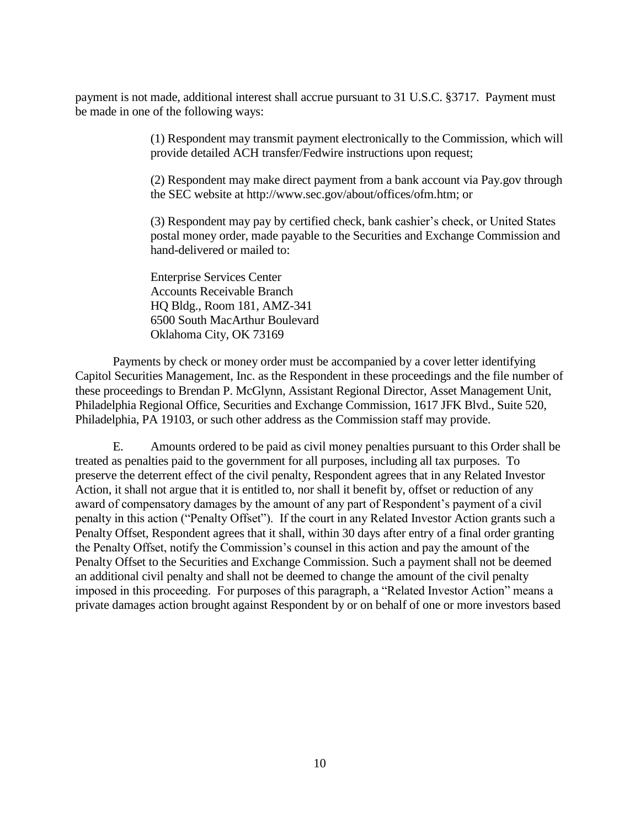payment is not made, additional interest shall accrue pursuant to 31 U.S.C. §3717. Payment must be made in one of the following ways:

> (1) Respondent may transmit payment electronically to the Commission, which will provide detailed ACH transfer/Fedwire instructions upon request;

> (2) Respondent may make direct payment from a bank account via Pay.gov through the SEC website at http://www.sec.gov/about/offices/ofm.htm; or

> (3) Respondent may pay by certified check, bank cashier's check, or United States postal money order, made payable to the Securities and Exchange Commission and hand-delivered or mailed to:

Enterprise Services Center Accounts Receivable Branch HQ Bldg., Room 181, AMZ-341 6500 South MacArthur Boulevard Oklahoma City, OK 73169

Payments by check or money order must be accompanied by a cover letter identifying Capitol Securities Management, Inc. as the Respondent in these proceedings and the file number of these proceedings to Brendan P. McGlynn, Assistant Regional Director, Asset Management Unit, Philadelphia Regional Office, Securities and Exchange Commission, 1617 JFK Blvd., Suite 520, Philadelphia, PA 19103, or such other address as the Commission staff may provide.

E. Amounts ordered to be paid as civil money penalties pursuant to this Order shall be treated as penalties paid to the government for all purposes, including all tax purposes. To preserve the deterrent effect of the civil penalty, Respondent agrees that in any Related Investor Action, it shall not argue that it is entitled to, nor shall it benefit by, offset or reduction of any award of compensatory damages by the amount of any part of Respondent's payment of a civil penalty in this action ("Penalty Offset"). If the court in any Related Investor Action grants such a Penalty Offset, Respondent agrees that it shall, within 30 days after entry of a final order granting the Penalty Offset, notify the Commission's counsel in this action and pay the amount of the Penalty Offset to the Securities and Exchange Commission. Such a payment shall not be deemed an additional civil penalty and shall not be deemed to change the amount of the civil penalty imposed in this proceeding. For purposes of this paragraph, a "Related Investor Action" means a private damages action brought against Respondent by or on behalf of one or more investors based